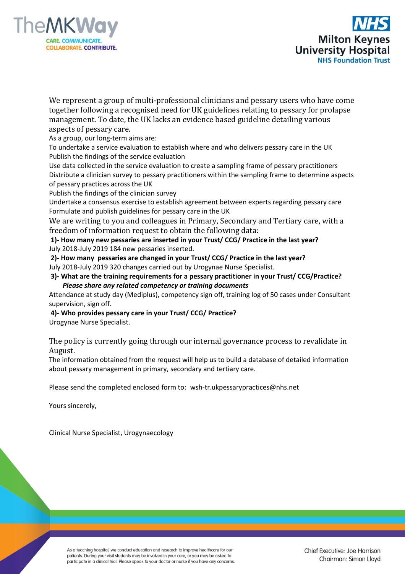



We represent a group of multi-professional clinicians and pessary users who have come together following a recognised need for UK guidelines relating to pessary for prolapse management. To date, the UK lacks an evidence based guideline detailing various aspects of pessary care.

As a group, our long-term aims are:

To undertake a service evaluation to establish where and who delivers pessary care in the UK Publish the findings of the service evaluation

Use data collected in the service evaluation to create a sampling frame of pessary practitioners Distribute a clinician survey to pessary practitioners within the sampling frame to determine aspects of pessary practices across the UK

Publish the findings of the clinician survey

Undertake a consensus exercise to establish agreement between experts regarding pessary care Formulate and publish guidelines for pessary care in the UK

We are writing to you and colleagues in Primary, Secondary and Tertiary care, with a freedom of information request to obtain the following data:

**1)- How many new pessaries are inserted in your Trust/ CCG/ Practice in the last year?** July 2018-July 2019 184 new pessaries inserted.

**2)- How many pessaries are changed in your Trust/ CCG/ Practice in the last year?** July 2018-July 2019 320 changes carried out by Urogynae Nurse Specialist.

**3)- What are the training requirements for a pessary practitioner in your Trust/ CCG/Practice?**   *Please share any related competency or training documents* 

Attendance at study day (Mediplus), competency sign off, training log of 50 cases under Consultant supervision, sign off.

**4)- Who provides pessary care in your Trust/ CCG/ Practice?**

Urogynae Nurse Specialist.

The policy is currently going through our internal governance process to revalidate in August.

The information obtained from the request will help us to build a database of detailed information about pessary management in primary, secondary and tertiary care.

Please send the completed enclosed form to: wsh-tr.ukpessarypractices@nhs.net

Yours sincerely,

Clinical Nurse Specialist, Urogynaecology